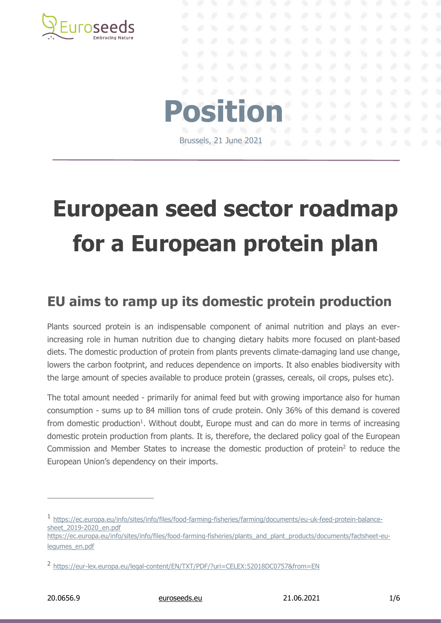

# **European seed sector roadmap for a European protein plan**

**Position**

Brussels, 21 June 2021

### **EU aims to ramp up its domestic protein production**

Plants sourced protein is an indispensable component of animal nutrition and plays an everincreasing role in human nutrition due to changing dietary habits more focused on plant-based diets. The domestic production of protein from plants prevents climate-damaging land use change, lowers the carbon footprint, and reduces dependence on imports. It also enables biodiversity with the large amount of species available to produce protein (grasses, cereals, oil crops, pulses etc).

The total amount needed - primarily for animal feed but with growing importance also for human consumption - sums up to 84 million tons of crude protein. Only 36% of this demand is covered from domestic production<sup>1</sup>. Without doubt, Europe must and can do more in terms of increasing domestic protein production from plants. It is, therefore, the declared policy goal of the European Commission and Member States to increase the domestic production of protein<sup>2</sup> to reduce the European Union's dependency on their imports.

20.0656.9 [euroseeds.eu](http://www.euroseeds.eu/) 21.06.2021 1/6

<sup>1</sup> [https://ec.europa.eu/info/sites/info/files/food-farming-fisheries/farming/documents/eu-uk-feed-protein-balance](https://ec.europa.eu/info/sites/info/files/food-farming-fisheries/farming/documents/eu-uk-feed-protein-balance-sheet_2019-2020_en.pdf)[sheet\\_2019-2020\\_en.pdf](https://ec.europa.eu/info/sites/info/files/food-farming-fisheries/farming/documents/eu-uk-feed-protein-balance-sheet_2019-2020_en.pdf)

[https://ec.europa.eu/info/sites/info/files/food-farming-fisheries/plants\\_and\\_plant\\_products/documents/factsheet-eu](https://ec.europa.eu/info/sites/info/files/food-farming-fisheries/plants_and_plant_products/documents/factsheet-eu-legumes_en.pdf)[legumes\\_en.pdf](https://ec.europa.eu/info/sites/info/files/food-farming-fisheries/plants_and_plant_products/documents/factsheet-eu-legumes_en.pdf)

<sup>2</sup> <https://eur-lex.europa.eu/legal-content/EN/TXT/PDF/?uri=CELEX:52018DC0757&from=EN>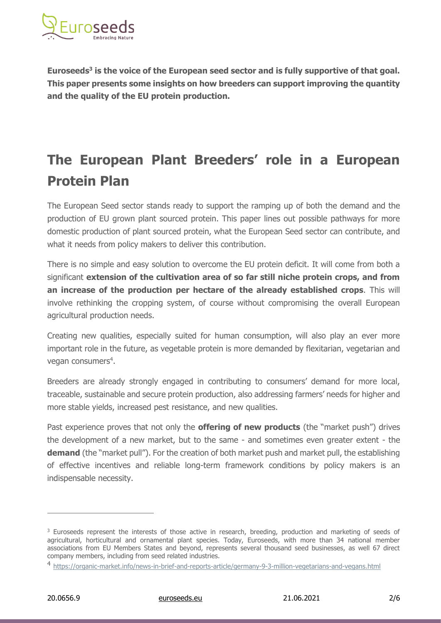

**Euroseeds<sup>3</sup> is the voice of the European seed sector and is fully supportive of that goal. This paper presents some insights on how breeders can support improving the quantity and the quality of the EU protein production.**

## **The European Plant Breeders' role in a European Protein Plan**

The European Seed sector stands ready to support the ramping up of both the demand and the production of EU grown plant sourced protein. This paper lines out possible pathways for more domestic production of plant sourced protein, what the European Seed sector can contribute, and what it needs from policy makers to deliver this contribution.

There is no simple and easy solution to overcome the EU protein deficit. It will come from both a significant **extension of the cultivation area of so far still niche protein crops, and from an increase of the production per hectare of the already established crops**. This will involve rethinking the cropping system, of course without compromising the overall European agricultural production needs.

Creating new qualities, especially suited for human consumption, will also play an ever more important role in the future, as vegetable protein is more demanded by flexitarian, vegetarian and vegan consumers<sup>4</sup>.

Breeders are already strongly engaged in contributing to consumers' demand for more local, traceable, sustainable and secure protein production, also addressing farmers' needs for higher and more stable yields, increased pest resistance, and new qualities.

Past experience proves that not only the **offering of new products** (the "market push") drives the development of a new market, but to the same - and sometimes even greater extent - the **demand** (the "market pull"). For the creation of both market push and market pull, the establishing of effective incentives and reliable long-term framework conditions by policy makers is an indispensable necessity.

<sup>&</sup>lt;sup>3</sup> Euroseeds represent the interests of those active in research, breeding, production and marketing of seeds of agricultural, horticultural and ornamental plant species. Today, Euroseeds, with more than 34 national member associations from EU Members States and beyond, represents several thousand seed businesses, as well 67 direct company members, including from seed related industries.

<sup>4</sup> <https://organic-market.info/news-in-brief-and-reports-article/germany-9-3-million-vegetarians-and-vegans.html>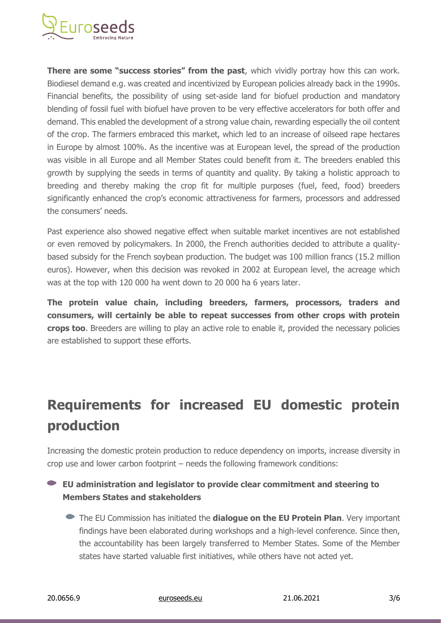

**There are some "success stories" from the past**, which vividly portray how this can work. Biodiesel demand e.g. was created and incentivized by European policies already back in the 1990s. Financial benefits, the possibility of using set-aside land for biofuel production and mandatory blending of fossil fuel with biofuel have proven to be very effective accelerators for both offer and demand. This enabled the development of a strong value chain, rewarding especially the oil content of the crop. The farmers embraced this market, which led to an increase of oilseed rape hectares in Europe by almost 100%. As the incentive was at European level, the spread of the production was visible in all Europe and all Member States could benefit from it. The breeders enabled this growth by supplying the seeds in terms of quantity and quality. By taking a holistic approach to breeding and thereby making the crop fit for multiple purposes (fuel, feed, food) breeders significantly enhanced the crop's economic attractiveness for farmers, processors and addressed the consumers' needs.

Past experience also showed negative effect when suitable market incentives are not established or even removed by policymakers. In 2000, the French authorities decided to attribute a qualitybased subsidy for the French soybean production. The budget was 100 million francs (15.2 million euros). However, when this decision was revoked in 2002 at European level, the acreage which was at the top with 120 000 ha went down to 20 000 ha 6 years later.

**The protein value chain, including breeders, farmers, processors, traders and consumers, will certainly be able to repeat successes from other crops with protein crops too**. Breeders are willing to play an active role to enable it, provided the necessary policies are established to support these efforts.

## **Requirements for increased EU domestic protein production**

Increasing the domestic protein production to reduce dependency on imports, increase diversity in crop use and lower carbon footprint – needs the following framework conditions:

#### **EU administration and legislator to provide clear commitment and steering to Members States and stakeholders**

The EU Commission has initiated the **dialogue on the EU Protein Plan**. Very important findings have been elaborated during workshops and a high-level conference. Since then, the accountability has been largely transferred to Member States. Some of the Member states have started valuable first initiatives, while others have not acted yet.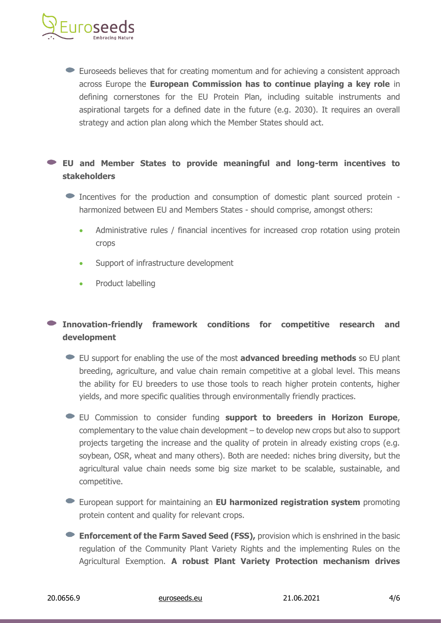

Euroseeds believes that for creating momentum and for achieving a consistent approach across Europe the **European Commission has to continue playing a key role** in defining cornerstones for the EU Protein Plan, including suitable instruments and aspirational targets for a defined date in the future (e.g. 2030). It requires an overall strategy and action plan along which the Member States should act.

#### **EU and Member States to provide meaningful and long-term incentives to stakeholders**

- Incentives for the production and consumption of domestic plant sourced protein harmonized between EU and Members States - should comprise, amongst others:
	- Administrative rules / financial incentives for increased crop rotation using protein crops
	- Support of infrastructure development
	- Product labelling

#### **Innovation-friendly framework conditions for competitive research and development**

- EU support for enabling the use of the most **advanced breeding methods** so EU plant breeding, agriculture, and value chain remain competitive at a global level. This means the ability for EU breeders to use those tools to reach higher protein contents, higher yields, and more specific qualities through environmentally friendly practices.
- EU Commission to consider funding **support to breeders in Horizon Europe**, complementary to the value chain development – to develop new crops but also to support projects targeting the increase and the quality of protein in already existing crops (e.g. soybean, OSR, wheat and many others). Both are needed: niches bring diversity, but the agricultural value chain needs some big size market to be scalable, sustainable, and competitive.
- European support for maintaining an **EU harmonized registration system** promoting protein content and quality for relevant crops.
- **Enforcement of the Farm Saved Seed (FSS),** provision which is enshrined in the basic regulation of the Community Plant Variety Rights and the implementing Rules on the Agricultural Exemption. **A robust Plant Variety Protection mechanism drives**

20.0656.9 [euroseeds.eu](http://www.euroseeds.eu/) 21.06.2021 4/6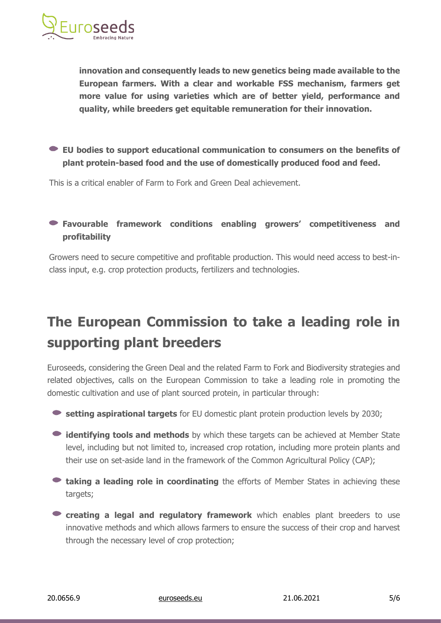

**innovation and consequently leads to new genetics being made available to the European farmers. With a clear and workable FSS mechanism, farmers get more value for using varieties which are of better yield, performance and quality, while breeders get equitable remuneration for their innovation.**

#### **EU bodies to support educational communication to consumers on the benefits of plant protein-based food and the use of domestically produced food and feed.**

This is a critical enabler of Farm to Fork and Green Deal achievement.

#### **Favourable framework conditions enabling growers' competitiveness and profitability**

Growers need to secure competitive and profitable production. This would need access to best-inclass input, e.g. crop protection products, fertilizers and technologies.

## **The European Commission to take a leading role in supporting plant breeders**

Euroseeds, considering the Green Deal and the related Farm to Fork and Biodiversity strategies and related objectives, calls on the European Commission to take a leading role in promoting the domestic cultivation and use of plant sourced protein, in particular through:

- **setting aspirational targets** for EU domestic plant protein production levels by 2030;
- **identifying tools and methods** by which these targets can be achieved at Member State level, including but not limited to, increased crop rotation, including more protein plants and their use on set-aside land in the framework of the Common Agricultural Policy (CAP);
- **taking a leading role in coordinating** the efforts of Member States in achieving these targets;
- **Creating a legal and regulatory framework** which enables plant breeders to use innovative methods and which allows farmers to ensure the success of their crop and harvest through the necessary level of crop protection;

20.0656.9 [euroseeds.eu](http://www.euroseeds.eu/) 21.06.2021 5/6